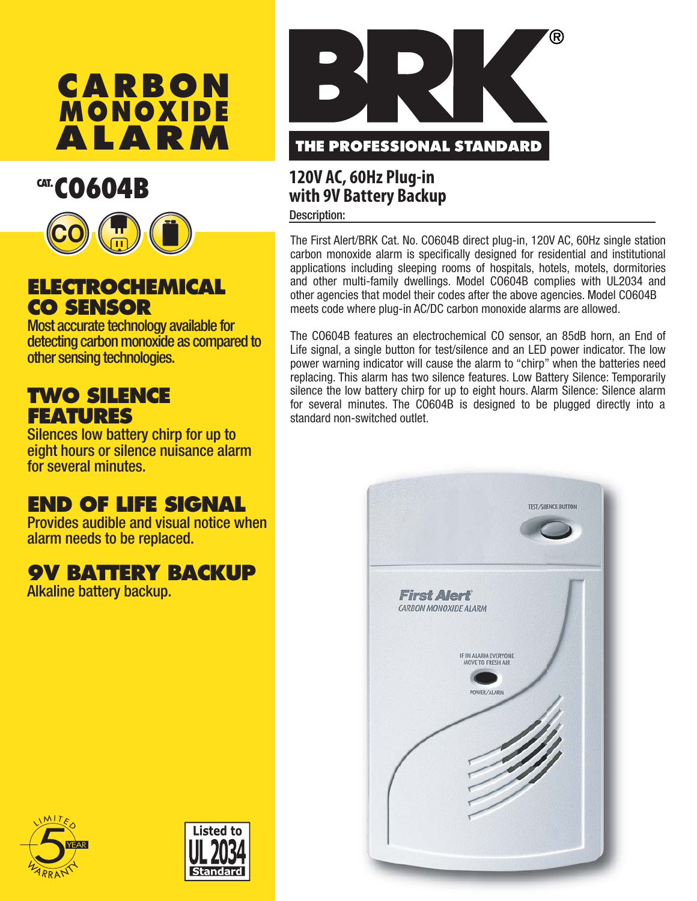



## **ELECTROCHEMICAL CO SENSOR**

Most accurate technology available for detecting carbon monoxide as compared to other sensing technologies.

## **TWO SILENCE FEATURES**

Silences low battery chirp for up to eight hours or silence nuisance alarm for several minutes.

# **END OF LIFE SIGNAL**

Provides audible and visual notice when alarm needs to be replaced.

# **9V BATTERY BACKUP**

Alkaline battery backup.



# **CAT. CO604B 120V AC, 60Hz Plug-in 120V AC 120V AC Plug-in**

**Description:** 

The First Alert/BRK Cat. No. CO604B direct plug-in, 120V AC, 60Hz single station carbon monoxide alarm is specifically designed for residential and institutional applications including sleeping rooms of hospitals, hotels, motels, dormitories and other multi-family dwellings. Model CO604B complies with UL2034 and other agencies that model their codes after the above agencies. Model CO604B meets code where plug-in AC/DC carbon monoxide alarms are allowed.

The CO604B features an electrochemical CO sensor, an 85dB horn, an End of Life signal, a single button for test/silence and an LED power indicator. The low power warning indicator will cause the alarm to "chirp" when the batteries need replacing. This alarm has two silence features. Low Battery Silence: Temporarily silence the low battery chirp for up to eight hours. Alarm Silence: Silence alarm for several minutes. The CO604B is designed to be plugged directly into a standard non-switched outlet.